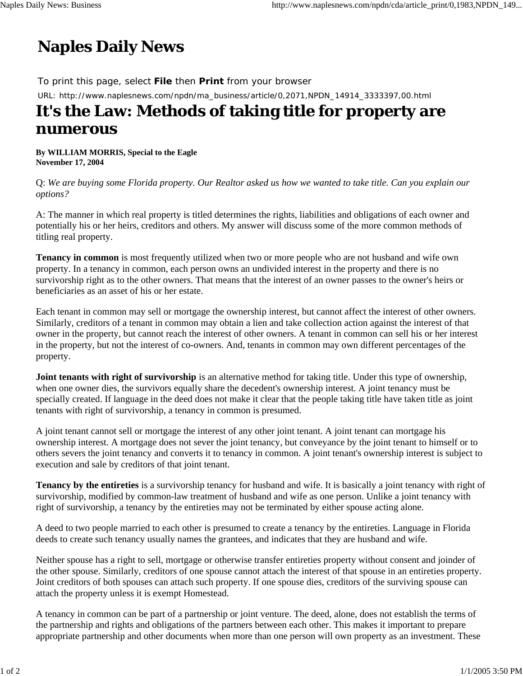## **Naples Daily News**

To print this page, select **File** then **Print** from your browser URL: http://www.naplesnews.com/npdn/ma\_business/article/0,2071,NPDN\_14914\_3333397,00.html

## **It's the Law: Methods of taking title for property are numerous**

**By WILLIAM MORRIS, Special to the Eagle November 17, 2004**

Q: *We are buying some Florida property. Our Realtor asked us how we wanted to take title. Can you explain our options?*

A: The manner in which real property is titled determines the rights, liabilities and obligations of each owner and potentially his or her heirs, creditors and others. My answer will discuss some of the more common methods of titling real property.

**Tenancy in common** is most frequently utilized when two or more people who are not husband and wife own property. In a tenancy in common, each person owns an undivided interest in the property and there is no survivorship right as to the other owners. That means that the interest of an owner passes to the owner's heirs or beneficiaries as an asset of his or her estate.

Each tenant in common may sell or mortgage the ownership interest, but cannot affect the interest of other owners. Similarly, creditors of a tenant in common may obtain a lien and take collection action against the interest of that owner in the property, but cannot reach the interest of other owners. A tenant in common can sell his or her interest in the property, but not the interest of co-owners. And, tenants in common may own different percentages of the property.

**Joint tenants with right of survivorship** is an alternative method for taking title. Under this type of ownership, when one owner dies, the survivors equally share the decedent's ownership interest. A joint tenancy must be specially created. If language in the deed does not make it clear that the people taking title have taken title as joint tenants with right of survivorship, a tenancy in common is presumed.

A joint tenant cannot sell or mortgage the interest of any other joint tenant. A joint tenant can mortgage his ownership interest. A mortgage does not sever the joint tenancy, but conveyance by the joint tenant to himself or to others severs the joint tenancy and converts it to tenancy in common. A joint tenant's ownership interest is subject to execution and sale by creditors of that joint tenant.

**Tenancy by the entireties** is a survivorship tenancy for husband and wife. It is basically a joint tenancy with right of survivorship, modified by common-law treatment of husband and wife as one person. Unlike a joint tenancy with right of survivorship, a tenancy by the entireties may not be terminated by either spouse acting alone.

A deed to two people married to each other is presumed to create a tenancy by the entireties. Language in Florida deeds to create such tenancy usually names the grantees, and indicates that they are husband and wife.

Neither spouse has a right to sell, mortgage or otherwise transfer entireties property without consent and joinder of the other spouse. Similarly, creditors of one spouse cannot attach the interest of that spouse in an entireties property. Joint creditors of both spouses can attach such property. If one spouse dies, creditors of the surviving spouse can attach the property unless it is exempt Homestead.

A tenancy in common can be part of a partnership or joint venture. The deed, alone, does not establish the terms of the partnership and rights and obligations of the partners between each other. This makes it important to prepare appropriate partnership and other documents when more than one person will own property as an investment. These